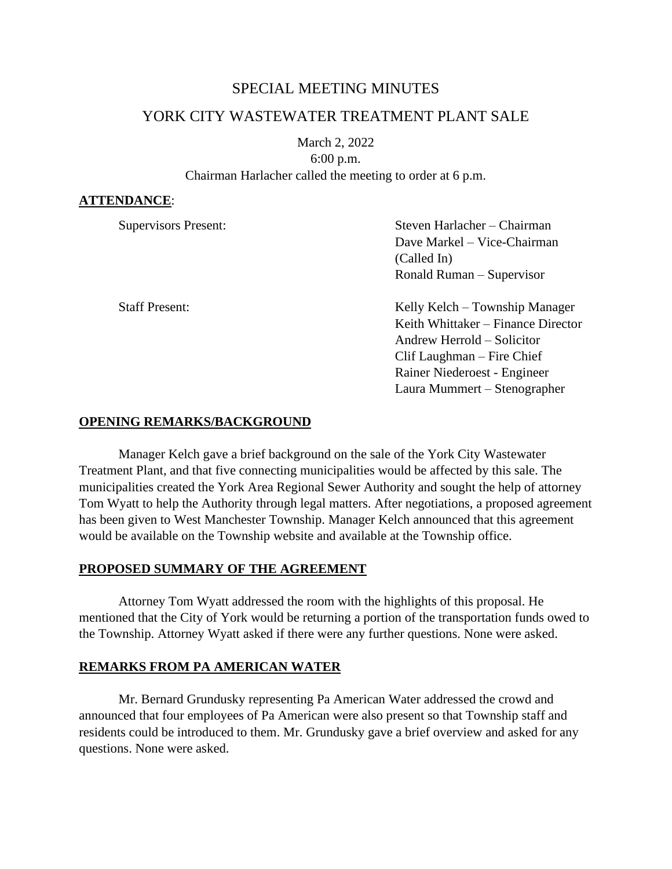## SPECIAL MEETING MINUTES

# YORK CITY WASTEWATER TREATMENT PLANT SALE

March 2, 2022 6:00 p.m. Chairman Harlacher called the meeting to order at 6 p.m.

#### **ATTENDANCE**:

| <b>Supervisors Present:</b> | Steven Harlacher – Chairman        |
|-----------------------------|------------------------------------|
|                             | Dave Markel – Vice-Chairman        |
|                             | (Called In)                        |
|                             | Ronald Ruman – Supervisor          |
| <b>Staff Present:</b>       | Kelly Kelch – Township Manager     |
|                             | Keith Whittaker – Finance Director |
|                             | Andrew Herrold – Solicitor         |
|                             | Clif Laughman – Fire Chief         |
|                             | Rainer Niederoest - Engineer       |

Laura Mummert – Stenographer

#### **OPENING REMARKS/BACKGROUND**

Manager Kelch gave a brief background on the sale of the York City Wastewater Treatment Plant, and that five connecting municipalities would be affected by this sale. The municipalities created the York Area Regional Sewer Authority and sought the help of attorney Tom Wyatt to help the Authority through legal matters. After negotiations, a proposed agreement has been given to West Manchester Township. Manager Kelch announced that this agreement would be available on the Township website and available at the Township office.

### **PROPOSED SUMMARY OF THE AGREEMENT**

Attorney Tom Wyatt addressed the room with the highlights of this proposal. He mentioned that the City of York would be returning a portion of the transportation funds owed to the Township. Attorney Wyatt asked if there were any further questions. None were asked.

### **REMARKS FROM PA AMERICAN WATER**

Mr. Bernard Grundusky representing Pa American Water addressed the crowd and announced that four employees of Pa American were also present so that Township staff and residents could be introduced to them. Mr. Grundusky gave a brief overview and asked for any questions. None were asked.